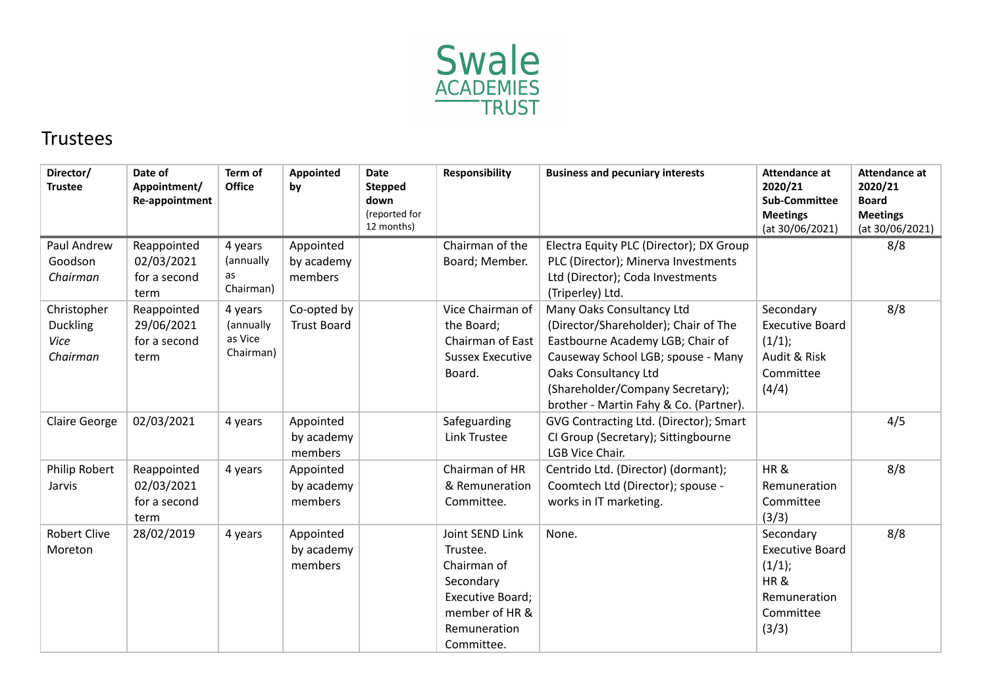

## Trustees

| Director/<br><b>Trustee</b>                        | Date of<br>Appointment/<br>Re-appointment         | Term of<br><b>Office</b>                     | Appointed<br>by                    | <b>Date</b><br><b>Stepped</b><br>down<br>(reported for<br>12 months) | <b>Responsibility</b>                                                                                                       | <b>Business and pecuniary interests</b>                                                                                                                                                                                                           | <b>Attendance at</b><br>2020/21<br><b>Sub-Committee</b><br><b>Meetings</b><br>(at 30/06/2021) | <b>Attendance at</b><br>2020/21<br><b>Board</b><br><b>Meetings</b><br>(at 30/06/2021) |
|----------------------------------------------------|---------------------------------------------------|----------------------------------------------|------------------------------------|----------------------------------------------------------------------|-----------------------------------------------------------------------------------------------------------------------------|---------------------------------------------------------------------------------------------------------------------------------------------------------------------------------------------------------------------------------------------------|-----------------------------------------------------------------------------------------------|---------------------------------------------------------------------------------------|
| Paul Andrew<br>Goodson<br>Chairman                 | Reappointed<br>02/03/2021<br>for a second<br>term | 4 years<br>(annually<br>as<br>Chairman)      | Appointed<br>by academy<br>members |                                                                      | Chairman of the<br>Board; Member.                                                                                           | Electra Equity PLC (Director); DX Group<br>PLC (Director); Minerva Investments<br>Ltd (Director); Coda Investments<br>(Triperley) Ltd.                                                                                                            |                                                                                               | 8/8                                                                                   |
| Christopher<br><b>Duckling</b><br>Vice<br>Chairman | Reappointed<br>29/06/2021<br>for a second<br>term | 4 years<br>(annually<br>as Vice<br>Chairman) | Co-opted by<br><b>Trust Board</b>  |                                                                      | Vice Chairman of<br>the Board;<br>Chairman of East<br><b>Sussex Executive</b><br>Board.                                     | Many Oaks Consultancy Ltd<br>(Director/Shareholder); Chair of The<br>Eastbourne Academy LGB; Chair of<br>Causeway School LGB; spouse - Many<br>Oaks Consultancy Ltd<br>(Shareholder/Company Secretary);<br>brother - Martin Fahy & Co. (Partner). | Secondary<br><b>Executive Board</b><br>(1/1);<br>Audit & Risk<br>Committee<br>(4/4)           | 8/8                                                                                   |
| <b>Claire George</b>                               | 02/03/2021                                        | 4 years                                      | Appointed<br>by academy<br>members |                                                                      | Safeguarding<br><b>Link Trustee</b>                                                                                         | GVG Contracting Ltd. (Director); Smart<br>CI Group (Secretary); Sittingbourne<br>LGB Vice Chair.                                                                                                                                                  |                                                                                               | 4/5                                                                                   |
| Philip Robert<br>Jarvis                            | Reappointed<br>02/03/2021<br>for a second<br>term | 4 years                                      | Appointed<br>by academy<br>members |                                                                      | Chairman of HR<br>& Remuneration<br>Committee.                                                                              | Centrido Ltd. (Director) (dormant);<br>Coomtech Ltd (Director); spouse -<br>works in IT marketing.                                                                                                                                                | HR&<br>Remuneration<br>Committee<br>(3/3)                                                     | 8/8                                                                                   |
| <b>Robert Clive</b><br>Moreton                     | 28/02/2019                                        | 4 years                                      | Appointed<br>by academy<br>members |                                                                      | Joint SEND Link<br>Trustee.<br>Chairman of<br>Secondary<br>Executive Board;<br>member of HR &<br>Remuneration<br>Committee. | None.                                                                                                                                                                                                                                             | Secondary<br><b>Executive Board</b><br>(1/1);<br>HR&<br>Remuneration<br>Committee<br>(3/3)    | 8/8                                                                                   |